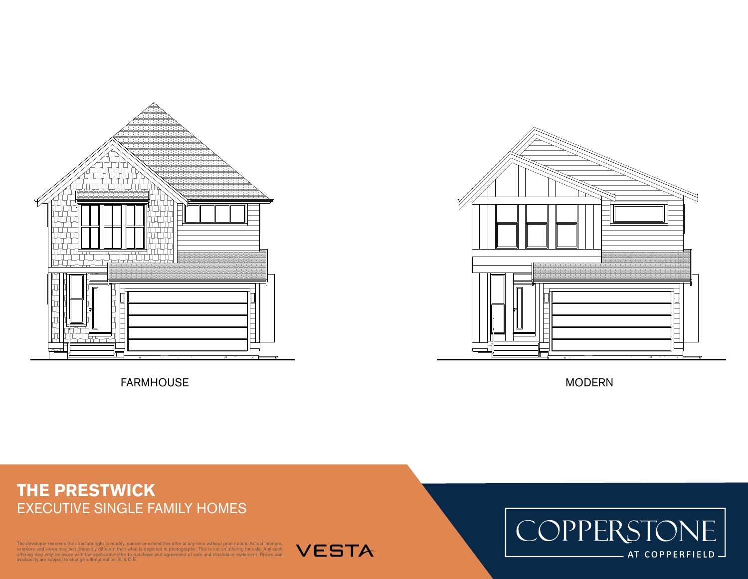

FARMHOUSE MODERN MODERN



## **THE PRESTWICK** EXECUTIVE SINGLE FAMILY HOMES

1 **FARMHOUSE**

The developer reserves the absolute right to modify, cancel or extend this offer at any time without prior notice. Actual interiors, exteriors and views may be noticeably different than what is depicted in photographs. This is not an offering for sale. Any such<br>offering may only be made with the applicable offer to purchase and agreement of sale and dis